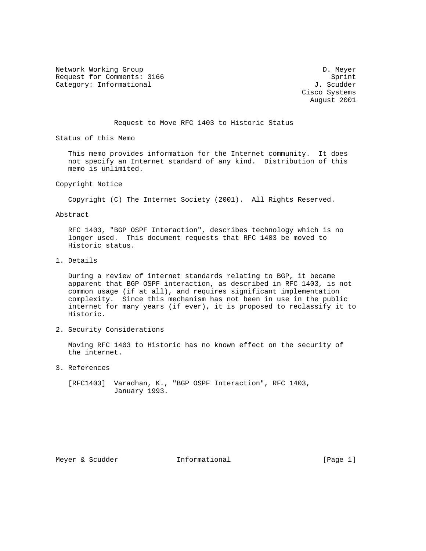Network Working Group Development of the United States of the D. Meyer Request for Comments: 3166 Sprint Category: Informational  $J.$  Scudder

 Cisco Systems August 2001

Request to Move RFC 1403 to Historic Status

Status of this Memo

 This memo provides information for the Internet community. It does not specify an Internet standard of any kind. Distribution of this memo is unlimited.

Copyright Notice

Copyright (C) The Internet Society (2001). All Rights Reserved.

Abstract

 RFC 1403, "BGP OSPF Interaction", describes technology which is no longer used. This document requests that RFC 1403 be moved to Historic status.

1. Details

 During a review of internet standards relating to BGP, it became apparent that BGP OSPF interaction, as described in RFC 1403, is not common usage (if at all), and requires significant implementation complexity. Since this mechanism has not been in use in the public internet for many years (if ever), it is proposed to reclassify it to Historic.

2. Security Considerations

 Moving RFC 1403 to Historic has no known effect on the security of the internet.

3. References

 [RFC1403] Varadhan, K., "BGP OSPF Interaction", RFC 1403, January 1993.

Meyer & Scudder **Informational Informational** [Page 1]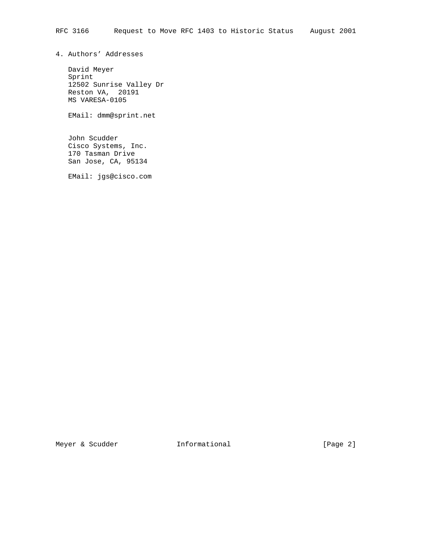4. Authors' Addresses

 David Meyer Sprint 12502 Sunrise Valley Dr Reston VA, 20191 MS VARESA-0105

EMail: dmm@sprint.net

 John Scudder Cisco Systems, Inc. 170 Tasman Drive San Jose, CA, 95134

EMail: jgs@cisco.com